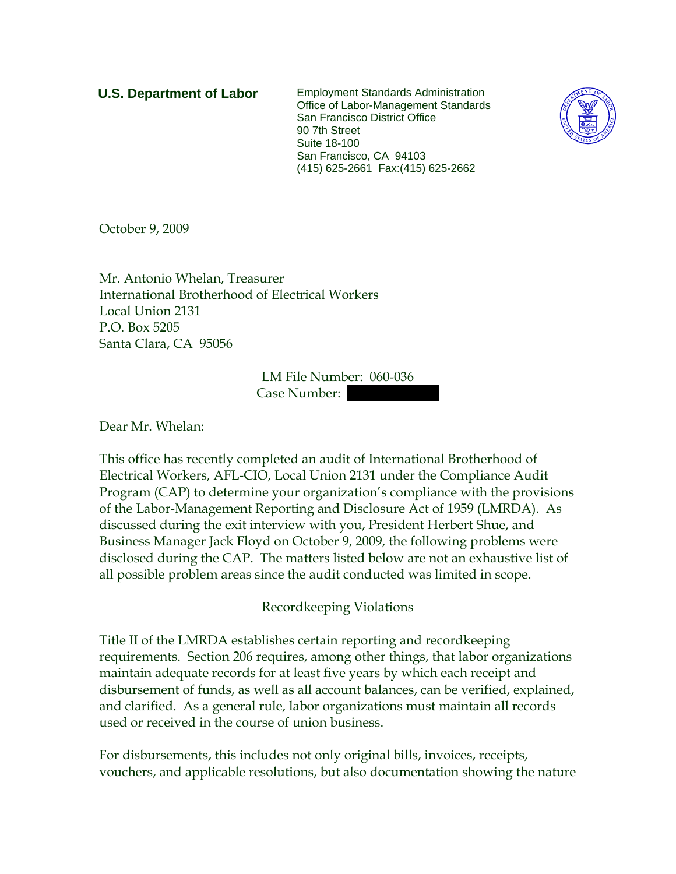**U.S. Department of Labor** Employment Standards Administration Office of Labor-Management Standards San Francisco District Office 90 7th Street Suite 18-100 San Francisco, CA 94103 (415) 625-2661 Fax:(415) 625-2662



October 9, 2009

Mr. Antonio Whelan, Treasurer International Brotherhood of Electrical Workers Local Union 2131 P.O. Box 5205 Santa Clara, CA 95056

> LM File Number: 060-036 Case Number:

Dear Mr. Whelan:

This office has recently completed an audit of International Brotherhood of Electrical Workers, AFL-CIO, Local Union 2131 under the Compliance Audit Program (CAP) to determine your organization's compliance with the provisions of the Labor-Management Reporting and Disclosure Act of 1959 (LMRDA). As discussed during the exit interview with you, President Herbert Shue, and Business Manager Jack Floyd on October 9, 2009, the following problems were disclosed during the CAP. The matters listed below are not an exhaustive list of all possible problem areas since the audit conducted was limited in scope.

## Recordkeeping Violations

Title II of the LMRDA establishes certain reporting and recordkeeping requirements. Section 206 requires, among other things, that labor organizations maintain adequate records for at least five years by which each receipt and disbursement of funds, as well as all account balances, can be verified, explained, and clarified. As a general rule, labor organizations must maintain all records used or received in the course of union business.

For disbursements, this includes not only original bills, invoices, receipts, vouchers, and applicable resolutions, but also documentation showing the nature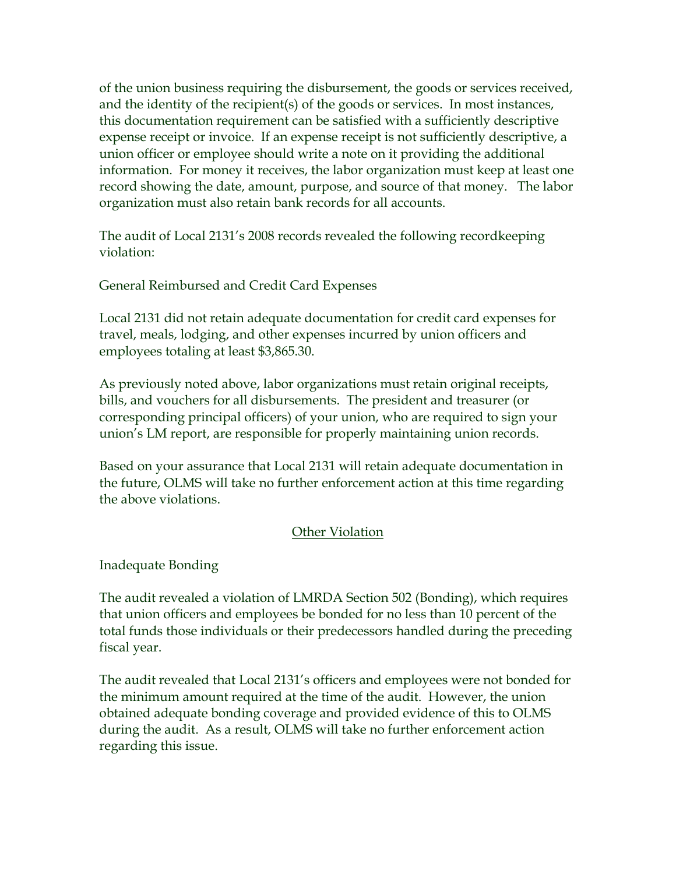of the union business requiring the disbursement, the goods or services received, and the identity of the recipient(s) of the goods or services. In most instances, this documentation requirement can be satisfied with a sufficiently descriptive expense receipt or invoice. If an expense receipt is not sufficiently descriptive, a union officer or employee should write a note on it providing the additional information. For money it receives, the labor organization must keep at least one record showing the date, amount, purpose, and source of that money. The labor organization must also retain bank records for all accounts.

The audit of Local 2131's 2008 records revealed the following recordkeeping violation:

General Reimbursed and Credit Card Expenses

Local 2131 did not retain adequate documentation for credit card expenses for travel, meals, lodging, and other expenses incurred by union officers and employees totaling at least \$3,865.30.

As previously noted above, labor organizations must retain original receipts, bills, and vouchers for all disbursements. The president and treasurer (or corresponding principal officers) of your union, who are required to sign your union's LM report, are responsible for properly maintaining union records.

Based on your assurance that Local 2131 will retain adequate documentation in the future, OLMS will take no further enforcement action at this time regarding the above violations.

## Other Violation

Inadequate Bonding

The audit revealed a violation of LMRDA Section 502 (Bonding), which requires that union officers and employees be bonded for no less than 10 percent of the total funds those individuals or their predecessors handled during the preceding fiscal year.

The audit revealed that Local 2131's officers and employees were not bonded for the minimum amount required at the time of the audit. However, the union obtained adequate bonding coverage and provided evidence of this to OLMS during the audit. As a result, OLMS will take no further enforcement action regarding this issue.